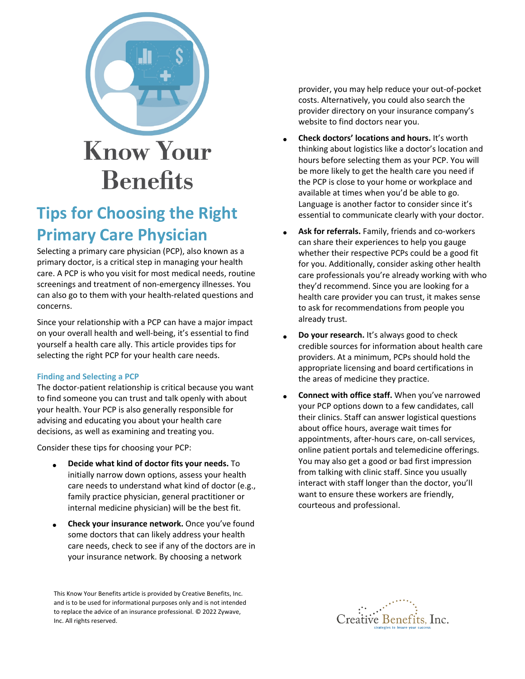

## **Tips for Choosing the Right Primary Care Physician**

Selecting a primary care physician (PCP), also known as a primary doctor, is a critical step in managing your health care. A PCP is who you visit for most medical needs, routine screenings and treatment of non-emergency illnesses. You can also go to them with your health-related questions and concerns.

Since your relationship with a PCP can have a major impact on your overall health and well-being, it's essential to find yourself a health care ally. This article provides tips for selecting the right PCP for your health care needs.

## **Finding and Selecting a PCP**

The doctor-patient relationship is critical because you want to find someone you can trust and talk openly with about your health. Your PCP is also generally responsible for advising and educating you about your health care decisions, as well as examining and treating you.

Consider these tips for choosing your PCP:

- **Decide what kind of doctor fits your needs.** To initially narrow down options, assess your health care needs to understand what kind of doctor (e.g., family practice physician, general practitioner or internal medicine physician) will be the best fit.
- **Check your insurance network.** Once you've found some doctors that can likely address your health care needs, check to see if any of the doctors are in your insurance network. By choosing a network

provider, you may help reduce your out-of-pocket costs. Alternatively, you could also search the provider directory on your insurance company's website to find doctors near you.

- **Check doctors' locations and hours.** It's worth thinking about logistics like a doctor's location and hours before selecting them as your PCP. You will be more likely to get the health care you need if the PCP is close to your home or workplace and available at times when you'd be able to go. Language is another factor to consider since it's essential to communicate clearly with your doctor.
- **Ask for referrals.** Family, friends and co-workers can share their experiences to help you gauge whether their respective PCPs could be a good fit for you. Additionally, consider asking other health care professionals you're already working with who they'd recommend. Since you are looking for a health care provider you can trust, it makes sense to ask for recommendations from people you already trust.
- **Do your research.** It's always good to check credible sources for information about health care providers. At a minimum, PCPs should hold the appropriate licensing and board certifications in the areas of medicine they practice.
- **Connect with office staff.** When you've narrowed your PCP options down to a few candidates, call their clinics. Staff can answer logistical questions about office hours, average wait times for appointments, after-hours care, on-call services, online patient portals and telemedicine offerings. You may also get a good or bad first impression from talking with clinic staff. Since you usually interact with staff longer than the doctor, you'll want to ensure these workers are friendly, courteous and professional.



This Know Your Benefits article is provided by Creative Benefits, Inc. and is to be used for informational purposes only and is not intended to replace the advice of an insurance professional. © 2022 Zywave, Inc. All rights reserved.